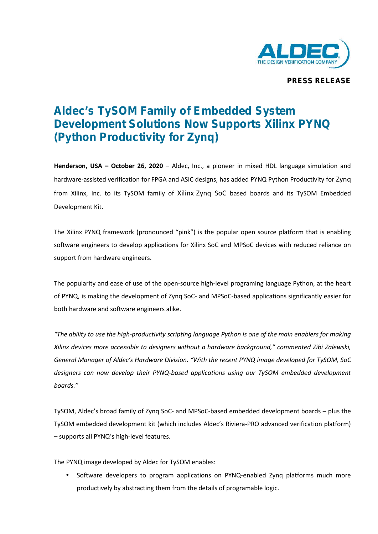

**PRESS RELEASE**

## **Aldec's TySOM Family of Embedded System Development Solutions Now Supports Xilinx PYNQ (Python Productivity for Zynq)**

**Henderson, USA – October 26, 2020** – Aldec, Inc., a pioneer in mixed HDL language simulation and hardware-assisted verification for FPGA and ASIC designs, has added PYNQ Python Productivity for Zynq from Xilinx, Inc. to its TySOM family of Xilinx Zynq SoC based boards and its TySOM Embedded Development Kit.

The Xilinx PYNQ framework (pronounced "pink") is the popular open source platform that is enabling software engineers to develop applications for Xilinx SoC and MPSoC devices with reduced reliance on support from hardware engineers.

The popularity and ease of use of the open-source high-level programing language Python, at the heart of PYNQ, is making the development of Zynq SoC- and MPSoC-based applications significantly easier for both hardware and software engineers alike.

*"The ability to use the high-productivity scripting language Python is one of the main enablers for making Xilinx devices more accessible to designers without a hardware background," commented Zibi Zalewski, General Manager of Aldec's Hardware Division. "With the recent PYNQ image developed for TySOM, SoC designers can now develop their PYNQ-based applications using our TySOM embedded development boards."*

TySOM, Aldec's broad family of Zynq SoC- and MPSoC-based embedded development boards – plus the TySOM embedded development kit (which includes Aldec's Riviera-PRO advanced verification platform) – supports allPYNQ's high-level features.

The PYNQ image developed by Aldec for TySOM enables:

 Software developers to program applications on PYNQ-enabled Zynq platforms much more productively by abstracting them from the details of programable logic.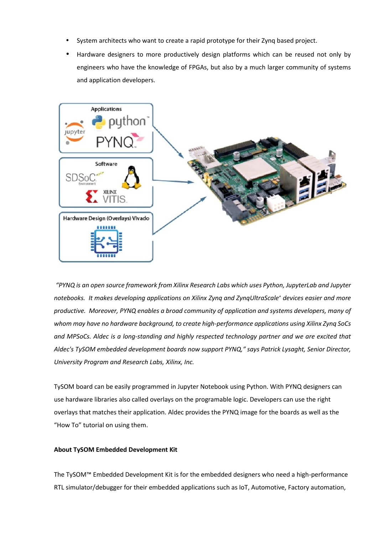- System architects who want to create a rapid prototype for their Zynq based project.
- Hardware designers to more productively design platforms which can be reused not only by engineers who have the knowledge of FPGAs, but also by a much larger community of systems and application developers.



*"PYNQ is an open source framework from Xilinx Research Labs which uses Python, JupyterLab and Jupyter notebooks. It makes developing applications on Xilinx Zynq and ZynqUltraScale<sup>+</sup> devices easier and more productive. Moreover, PYNQ enables a broad community of application and systems developers, many of whom may have no hardware background, to create high-performance applications using Xilinx Zynq SoCs and MPSoCs. Aldec is a long-standing and highly respected technology partner and we are excited that Aldec's TySOM embedded development boards now support PYNQ," says Patrick Lysaght, Senior Director, University Program and Research Labs, Xilinx, Inc.*

TySOM board can be easily programmed in Jupyter Notebook using Python. With PYNQ designers can use hardware libraries also called overlays on the programable logic. Developers can use the right overlays that matches their application. Aldec provides the PYNQ image for the boards as well as the "How To" tutorial on using them.

## **About TySOM Embedded Development Kit**

The TySOM™ Embedded Development Kit is for the embedded designers who need a high-performance RTL simulator/debugger for their embedded applications such as IoT, Automotive, Factory automation,